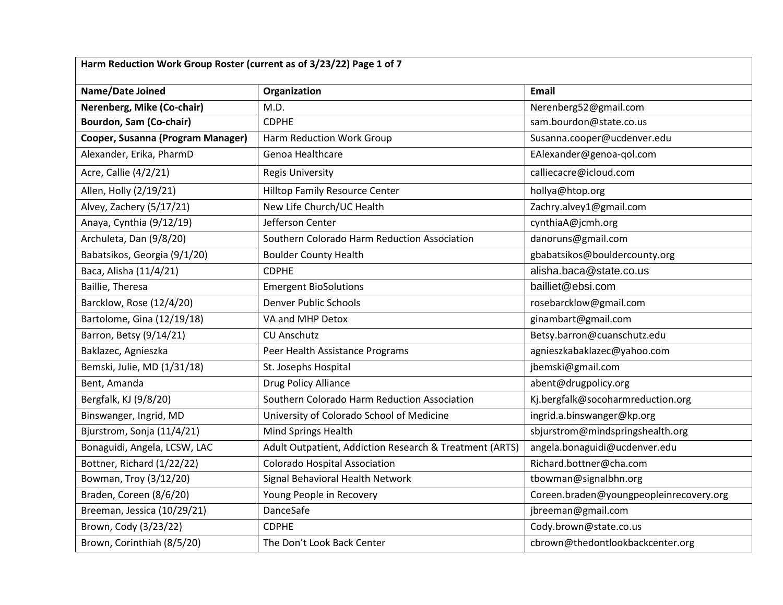| Harm Reduction Work Group Roster (current as of 3/23/22) Page 1 of 7 |                                                         |                                         |
|----------------------------------------------------------------------|---------------------------------------------------------|-----------------------------------------|
| <b>Name/Date Joined</b>                                              | Organization                                            | <b>Email</b>                            |
| Nerenberg, Mike (Co-chair)                                           | M.D.                                                    | Nerenberg52@gmail.com                   |
| <b>Bourdon, Sam (Co-chair)</b>                                       | <b>CDPHE</b>                                            | sam.bourdon@state.co.us                 |
| Cooper, Susanna (Program Manager)                                    | Harm Reduction Work Group                               | Susanna.cooper@ucdenver.edu             |
| Alexander, Erika, PharmD                                             | Genoa Healthcare                                        | EAlexander@genoa-qol.com                |
| Acre, Callie (4/2/21)                                                | <b>Regis University</b>                                 | calliecacre@icloud.com                  |
| Allen, Holly (2/19/21)                                               | <b>Hilltop Family Resource Center</b>                   | hollya@htop.org                         |
| Alvey, Zachery (5/17/21)                                             | New Life Church/UC Health                               | Zachry.alvey1@gmail.com                 |
| Anaya, Cynthia (9/12/19)                                             | Jefferson Center                                        | cynthiaA@jcmh.org                       |
| Archuleta, Dan (9/8/20)                                              | Southern Colorado Harm Reduction Association            | danoruns@gmail.com                      |
| Babatsikos, Georgia (9/1/20)                                         | <b>Boulder County Health</b>                            | gbabatsikos@bouldercounty.org           |
| Baca, Alisha (11/4/21)                                               | <b>CDPHE</b>                                            | alisha.baca@state.co.us                 |
| Baillie, Theresa                                                     | <b>Emergent BioSolutions</b>                            | bailliet@ebsi.com                       |
| Barcklow, Rose (12/4/20)                                             | <b>Denver Public Schools</b>                            | rosebarcklow@gmail.com                  |
| Bartolome, Gina (12/19/18)                                           | VA and MHP Detox                                        | ginambart@gmail.com                     |
| Barron, Betsy (9/14/21)                                              | <b>CU Anschutz</b>                                      | Betsy.barron@cuanschutz.edu             |
| Baklazec, Agnieszka                                                  | Peer Health Assistance Programs                         | agnieszkabaklazec@yahoo.com             |
| Bemski, Julie, MD (1/31/18)                                          | St. Josephs Hospital                                    | jbemski@gmail.com                       |
| Bent, Amanda                                                         | Drug Policy Alliance                                    | abent@drugpolicy.org                    |
| Bergfalk, KJ (9/8/20)                                                | Southern Colorado Harm Reduction Association            | Kj.bergfalk@socoharmreduction.org       |
| Binswanger, Ingrid, MD                                               | University of Colorado School of Medicine               | ingrid.a.binswanger@kp.org              |
| Bjurstrom, Sonja (11/4/21)                                           | Mind Springs Health                                     | sbjurstrom@mindspringshealth.org        |
| Bonaguidi, Angela, LCSW, LAC                                         | Adult Outpatient, Addiction Research & Treatment (ARTS) | angela.bonaguidi@ucdenver.edu           |
| Bottner, Richard (1/22/22)                                           | <b>Colorado Hospital Association</b>                    | Richard.bottner@cha.com                 |
| Bowman, Troy (3/12/20)                                               | Signal Behavioral Health Network                        | tbowman@signalbhn.org                   |
| Braden, Coreen (8/6/20)                                              | Young People in Recovery                                | Coreen.braden@youngpeopleinrecovery.org |
| Breeman, Jessica (10/29/21)                                          | DanceSafe                                               | jbreeman@gmail.com                      |
| Brown, Cody (3/23/22)                                                | <b>CDPHE</b>                                            | Cody.brown@state.co.us                  |
| Brown, Corinthiah (8/5/20)                                           | The Don't Look Back Center                              | cbrown@thedontlookbackcenter.org        |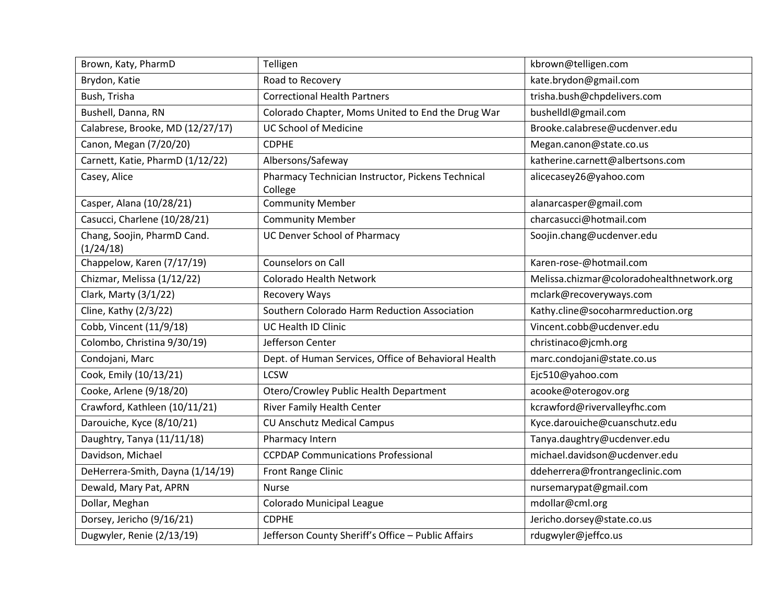| Brown, Katy, PharmD                      | Telligen                                                     | kbrown@telligen.com                       |
|------------------------------------------|--------------------------------------------------------------|-------------------------------------------|
| Brydon, Katie                            | Road to Recovery                                             | kate.brydon@gmail.com                     |
| Bush, Trisha                             | <b>Correctional Health Partners</b>                          | trisha.bush@chpdelivers.com               |
| Bushell, Danna, RN                       | Colorado Chapter, Moms United to End the Drug War            | bushelldl@gmail.com                       |
| Calabrese, Brooke, MD (12/27/17)         | <b>UC School of Medicine</b>                                 | Brooke.calabrese@ucdenver.edu             |
| Canon, Megan (7/20/20)                   | <b>CDPHE</b>                                                 | Megan.canon@state.co.us                   |
| Carnett, Katie, PharmD (1/12/22)         | Albersons/Safeway                                            | katherine.carnett@albertsons.com          |
| Casey, Alice                             | Pharmacy Technician Instructor, Pickens Technical<br>College | alicecasey26@yahoo.com                    |
| Casper, Alana (10/28/21)                 | <b>Community Member</b>                                      | alanarcasper@gmail.com                    |
| Casucci, Charlene (10/28/21)             | <b>Community Member</b>                                      | charcasucci@hotmail.com                   |
| Chang, Soojin, PharmD Cand.<br>(1/24/18) | <b>UC Denver School of Pharmacy</b>                          | Soojin.chang@ucdenver.edu                 |
| Chappelow, Karen (7/17/19)               | Counselors on Call                                           | Karen-rose-@hotmail.com                   |
| Chizmar, Melissa (1/12/22)               | Colorado Health Network                                      | Melissa.chizmar@coloradohealthnetwork.org |
| Clark, Marty (3/1/22)                    | <b>Recovery Ways</b>                                         | mclark@recoveryways.com                   |
| Cline, Kathy (2/3/22)                    | Southern Colorado Harm Reduction Association                 | Kathy.cline@socoharmreduction.org         |
| Cobb, Vincent (11/9/18)                  | UC Health ID Clinic                                          | Vincent.cobb@ucdenver.edu                 |
| Colombo, Christina 9/30/19)              | Jefferson Center                                             | christinaco@jcmh.org                      |
| Condojani, Marc                          | Dept. of Human Services, Office of Behavioral Health         | marc.condojani@state.co.us                |
| Cook, Emily (10/13/21)                   | <b>LCSW</b>                                                  | Ejc510@yahoo.com                          |
| Cooke, Arlene (9/18/20)                  | Otero/Crowley Public Health Department                       | acooke@oterogov.org                       |
| Crawford, Kathleen (10/11/21)            | River Family Health Center                                   | kcrawford@rivervalleyfhc.com              |
| Darouiche, Kyce (8/10/21)                | <b>CU Anschutz Medical Campus</b>                            | Kyce.darouiche@cuanschutz.edu             |
| Daughtry, Tanya (11/11/18)               | Pharmacy Intern                                              | Tanya.daughtry@ucdenver.edu               |
| Davidson, Michael                        | <b>CCPDAP Communications Professional</b>                    | michael.davidson@ucdenver.edu             |
| DeHerrera-Smith, Dayna (1/14/19)         | Front Range Clinic                                           | ddeherrera@frontrangeclinic.com           |
| Dewald, Mary Pat, APRN                   | <b>Nurse</b>                                                 | nursemarypat@gmail.com                    |
| Dollar, Meghan                           | Colorado Municipal League                                    | mdollar@cml.org                           |
| Dorsey, Jericho (9/16/21)                | <b>CDPHE</b>                                                 | Jericho.dorsey@state.co.us                |
| Dugwyler, Renie (2/13/19)                | Jefferson County Sheriff's Office - Public Affairs           | rdugwyler@jeffco.us                       |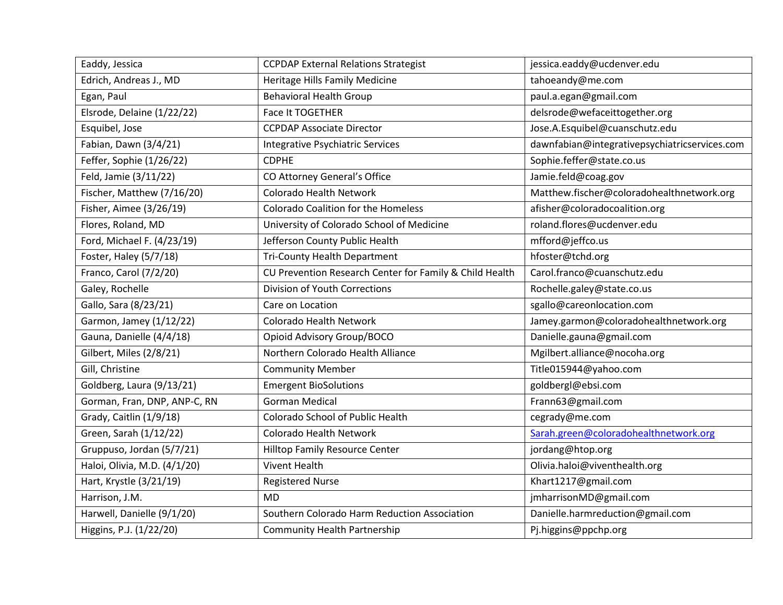| Eaddy, Jessica               | <b>CCPDAP External Relations Strategist</b>             | jessica.eaddy@ucdenver.edu                    |
|------------------------------|---------------------------------------------------------|-----------------------------------------------|
| Edrich, Andreas J., MD       | Heritage Hills Family Medicine                          | tahoeandy@me.com                              |
| Egan, Paul                   | <b>Behavioral Health Group</b>                          | paul.a.egan@gmail.com                         |
| Elsrode, Delaine (1/22/22)   | Face It TOGETHER                                        | delsrode@wefaceittogether.org                 |
| Esquibel, Jose               | <b>CCPDAP Associate Director</b>                        | Jose.A.Esquibel@cuanschutz.edu                |
| Fabian, Dawn (3/4/21)        | Integrative Psychiatric Services                        | dawnfabian@integrativepsychiatricservices.com |
| Feffer, Sophie (1/26/22)     | <b>CDPHE</b>                                            | Sophie.feffer@state.co.us                     |
| Feld, Jamie (3/11/22)        | CO Attorney General's Office                            | Jamie.feld@coag.gov                           |
| Fischer, Matthew (7/16/20)   | Colorado Health Network                                 | Matthew.fischer@coloradohealthnetwork.org     |
| Fisher, Aimee (3/26/19)      | <b>Colorado Coalition for the Homeless</b>              | afisher@coloradocoalition.org                 |
| Flores, Roland, MD           | University of Colorado School of Medicine               | roland.flores@ucdenver.edu                    |
| Ford, Michael F. (4/23/19)   | Jefferson County Public Health                          | mfford@jeffco.us                              |
| Foster, Haley (5/7/18)       | Tri-County Health Department                            | hfoster@tchd.org                              |
| Franco, Carol (7/2/20)       | CU Prevention Research Center for Family & Child Health | Carol.franco@cuanschutz.edu                   |
| Galey, Rochelle              | Division of Youth Corrections                           | Rochelle.galey@state.co.us                    |
| Gallo, Sara (8/23/21)        | Care on Location                                        | sgallo@careonlocation.com                     |
| Garmon, Jamey (1/12/22)      | Colorado Health Network                                 | Jamey.garmon@coloradohealthnetwork.org        |
| Gauna, Danielle (4/4/18)     | Opioid Advisory Group/BOCO                              | Danielle.gauna@gmail.com                      |
| Gilbert, Miles (2/8/21)      | Northern Colorado Health Alliance                       | Mgilbert.alliance@nocoha.org                  |
| Gill, Christine              | <b>Community Member</b>                                 | Title015944@yahoo.com                         |
| Goldberg, Laura (9/13/21)    | <b>Emergent BioSolutions</b>                            | goldbergl@ebsi.com                            |
| Gorman, Fran, DNP, ANP-C, RN | <b>Gorman Medical</b>                                   | Frann63@gmail.com                             |
| Grady, Caitlin (1/9/18)      | <b>Colorado School of Public Health</b>                 | cegrady@me.com                                |
| Green, Sarah (1/12/22)       | Colorado Health Network                                 | Sarah.green@coloradohealthnetwork.org         |
| Gruppuso, Jordan (5/7/21)    | Hilltop Family Resource Center                          | jordang@htop.org                              |
| Haloi, Olivia, M.D. (4/1/20) | <b>Vivent Health</b>                                    | Olivia.haloi@viventhealth.org                 |
| Hart, Krystle (3/21/19)      | <b>Registered Nurse</b>                                 | Khart1217@gmail.com                           |
| Harrison, J.M.               | <b>MD</b>                                               | jmharrisonMD@gmail.com                        |
| Harwell, Danielle (9/1/20)   | Southern Colorado Harm Reduction Association            | Danielle.harmreduction@gmail.com              |
| Higgins, P.J. (1/22/20)      | <b>Community Health Partnership</b>                     | Pj.higgins@ppchp.org                          |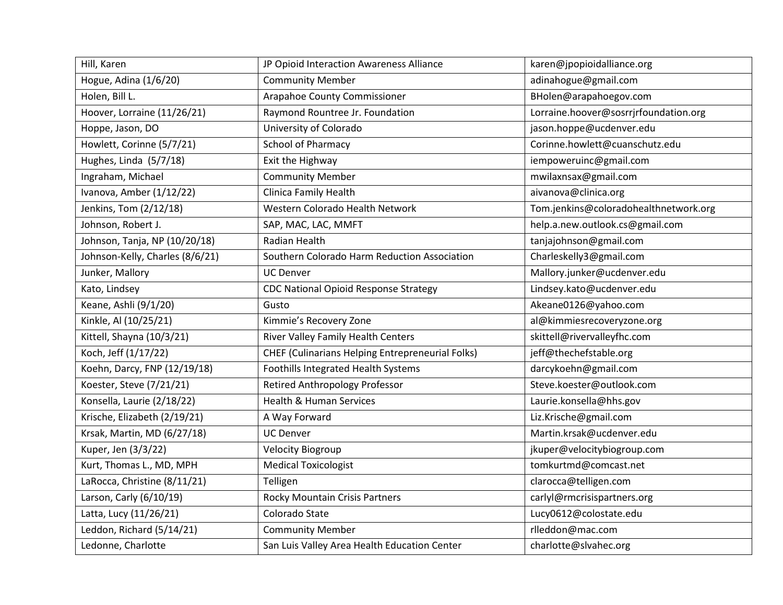| Hill, Karen                     | JP Opioid Interaction Awareness Alliance                | karen@jpopioidalliance.org            |
|---------------------------------|---------------------------------------------------------|---------------------------------------|
| Hogue, Adina (1/6/20)           | <b>Community Member</b>                                 | adinahogue@gmail.com                  |
| Holen, Bill L.                  | Arapahoe County Commissioner                            | BHolen@arapahoegov.com                |
| Hoover, Lorraine (11/26/21)     | Raymond Rountree Jr. Foundation                         | Lorraine.hoover@sosrrjrfoundation.org |
| Hoppe, Jason, DO                | University of Colorado                                  | jason.hoppe@ucdenver.edu              |
| Howlett, Corinne (5/7/21)       | <b>School of Pharmacy</b>                               | Corinne.howlett@cuanschutz.edu        |
| Hughes, Linda (5/7/18)          | Exit the Highway                                        | iempoweruinc@gmail.com                |
| Ingraham, Michael               | <b>Community Member</b>                                 | mwilaxnsax@gmail.com                  |
| Ivanova, Amber (1/12/22)        | Clinica Family Health                                   | aivanova@clinica.org                  |
| Jenkins, Tom (2/12/18)          | Western Colorado Health Network                         | Tom.jenkins@coloradohealthnetwork.org |
| Johnson, Robert J.              | SAP, MAC, LAC, MMFT                                     | help.a.new.outlook.cs@gmail.com       |
| Johnson, Tanja, NP (10/20/18)   | Radian Health                                           | tanjajohnson@gmail.com                |
| Johnson-Kelly, Charles (8/6/21) | Southern Colorado Harm Reduction Association            | Charleskelly3@gmail.com               |
| Junker, Mallory                 | <b>UC Denver</b>                                        | Mallory.junker@ucdenver.edu           |
| Kato, Lindsey                   | <b>CDC National Opioid Response Strategy</b>            | Lindsey.kato@ucdenver.edu             |
| Keane, Ashli (9/1/20)           | Gusto                                                   | Akeane0126@yahoo.com                  |
| Kinkle, Al (10/25/21)           | Kimmie's Recovery Zone                                  | al@kimmiesrecoveryzone.org            |
| Kittell, Shayna (10/3/21)       | River Valley Family Health Centers                      | skittell@rivervalleyfhc.com           |
| Koch, Jeff (1/17/22)            | <b>CHEF (Culinarians Helping Entrepreneurial Folks)</b> | jeff@thechefstable.org                |
| Koehn, Darcy, FNP (12/19/18)    | Foothills Integrated Health Systems                     | darcykoehn@gmail.com                  |
| Koester, Steve (7/21/21)        | <b>Retired Anthropology Professor</b>                   | Steve.koester@outlook.com             |
| Konsella, Laurie (2/18/22)      | <b>Health &amp; Human Services</b>                      | Laurie.konsella@hhs.gov               |
| Krische, Elizabeth (2/19/21)    | A Way Forward                                           | Liz.Krische@gmail.com                 |
| Krsak, Martin, MD (6/27/18)     | <b>UC Denver</b>                                        | Martin.krsak@ucdenver.edu             |
| Kuper, Jen (3/3/22)             | <b>Velocity Biogroup</b>                                | jkuper@velocitybiogroup.com           |
| Kurt, Thomas L., MD, MPH        | <b>Medical Toxicologist</b>                             | tomkurtmd@comcast.net                 |
| LaRocca, Christine (8/11/21)    | Telligen                                                | clarocca@telligen.com                 |
| Larson, Carly (6/10/19)         | <b>Rocky Mountain Crisis Partners</b>                   | carlyl@rmcrisispartners.org           |
| Latta, Lucy (11/26/21)          | Colorado State                                          | Lucy0612@colostate.edu                |
| Leddon, Richard (5/14/21)       | <b>Community Member</b>                                 | rlleddon@mac.com                      |
| Ledonne, Charlotte              | San Luis Valley Area Health Education Center            | charlotte@slvahec.org                 |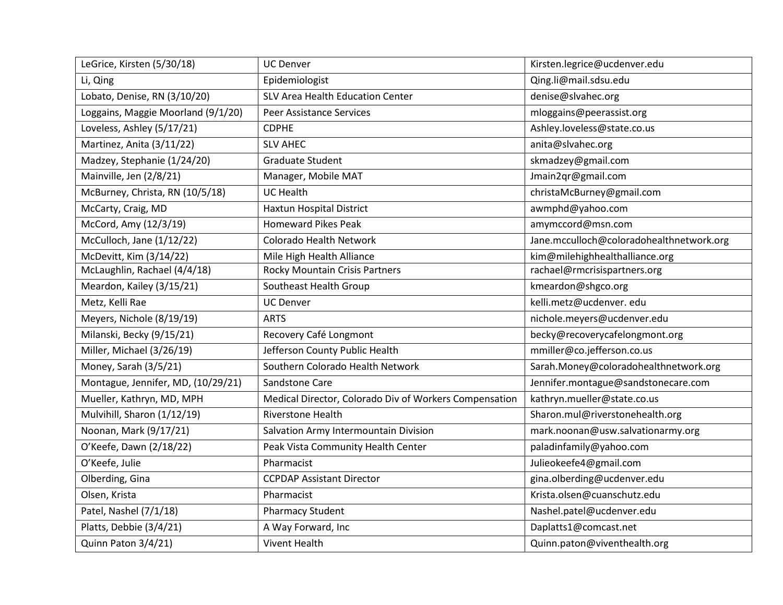| LeGrice, Kirsten (5/30/18)         | <b>UC Denver</b>                                       | Kirsten.legrice@ucdenver.edu             |
|------------------------------------|--------------------------------------------------------|------------------------------------------|
| Li, Qing                           | Epidemiologist                                         | Qing.li@mail.sdsu.edu                    |
| Lobato, Denise, RN (3/10/20)       | SLV Area Health Education Center                       | denise@slvahec.org                       |
| Loggains, Maggie Moorland (9/1/20) | <b>Peer Assistance Services</b>                        | mloggains@peerassist.org                 |
| Loveless, Ashley (5/17/21)         | <b>CDPHE</b>                                           | Ashley.loveless@state.co.us              |
| Martinez, Anita (3/11/22)          | <b>SLV AHEC</b>                                        | anita@slvahec.org                        |
| Madzey, Stephanie (1/24/20)        | Graduate Student                                       | skmadzey@gmail.com                       |
| Mainville, Jen (2/8/21)            | Manager, Mobile MAT                                    | Jmain2qr@gmail.com                       |
| McBurney, Christa, RN (10/5/18)    | <b>UC Health</b>                                       | christaMcBurney@gmail.com                |
| McCarty, Craig, MD                 | <b>Haxtun Hospital District</b>                        | awmphd@yahoo.com                         |
| McCord, Amy (12/3/19)              | <b>Homeward Pikes Peak</b>                             | amymccord@msn.com                        |
| McCulloch, Jane (1/12/22)          | Colorado Health Network                                | Jane.mcculloch@coloradohealthnetwork.org |
| McDevitt, Kim (3/14/22)            | Mile High Health Alliance                              | kim@milehighhealthalliance.org           |
| McLaughlin, Rachael (4/4/18)       | Rocky Mountain Crisis Partners                         | rachael@rmcrisispartners.org             |
| Meardon, Kailey (3/15/21)          | Southeast Health Group                                 | kmeardon@shgco.org                       |
| Metz, Kelli Rae                    | <b>UC Denver</b>                                       | kelli.metz@ucdenver.edu                  |
| Meyers, Nichole (8/19/19)          | <b>ARTS</b>                                            | nichole.meyers@ucdenver.edu              |
| Milanski, Becky (9/15/21)          | Recovery Café Longmont                                 | becky@recoverycafelongmont.org           |
| Miller, Michael (3/26/19)          | Jefferson County Public Health                         | mmiller@co.jefferson.co.us               |
| Money, Sarah (3/5/21)              | Southern Colorado Health Network                       | Sarah.Money@coloradohealthnetwork.org    |
| Montague, Jennifer, MD, (10/29/21) | Sandstone Care                                         | Jennifer.montague@sandstonecare.com      |
| Mueller, Kathryn, MD, MPH          | Medical Director, Colorado Div of Workers Compensation | kathryn.mueller@state.co.us              |
| Mulvihill, Sharon (1/12/19)        | <b>Riverstone Health</b>                               | Sharon.mul@riverstonehealth.org          |
| Noonan, Mark (9/17/21)             | Salvation Army Intermountain Division                  | mark.noonan@usw.salvationarmy.org        |
| O'Keefe, Dawn (2/18/22)            | Peak Vista Community Health Center                     | paladinfamily@yahoo.com                  |
| O'Keefe, Julie                     | Pharmacist                                             | Julieokeefe4@gmail.com                   |
| Olberding, Gina                    | <b>CCPDAP Assistant Director</b>                       | gina.olberding@ucdenver.edu              |
| Olsen, Krista                      | Pharmacist                                             | Krista.olsen@cuanschutz.edu              |
| Patel, Nashel (7/1/18)             | <b>Pharmacy Student</b>                                | Nashel.patel@ucdenver.edu                |
| Platts, Debbie (3/4/21)            | A Way Forward, Inc                                     | Daplatts1@comcast.net                    |
| Quinn Paton 3/4/21)                | <b>Vivent Health</b>                                   | Quinn.paton@viventhealth.org             |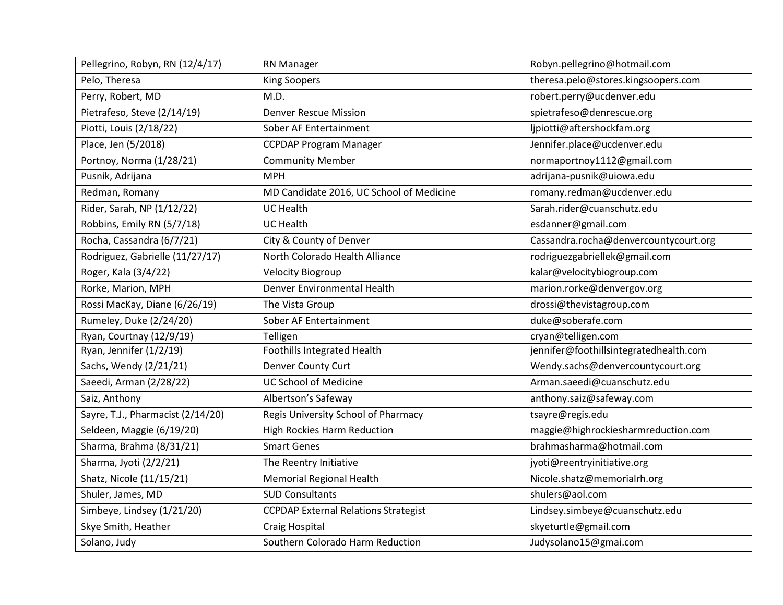| Pellegrino, Robyn, RN (12/4/17)   | <b>RN Manager</b>                           | Robyn.pellegrino@hotmail.com           |
|-----------------------------------|---------------------------------------------|----------------------------------------|
| Pelo, Theresa                     | <b>King Soopers</b>                         | theresa.pelo@stores.kingsoopers.com    |
| Perry, Robert, MD                 | M.D.                                        | robert.perry@ucdenver.edu              |
| Pietrafeso, Steve (2/14/19)       | <b>Denver Rescue Mission</b>                | spietrafeso@denrescue.org              |
| Piotti, Louis (2/18/22)           | Sober AF Entertainment                      | ljpiotti@aftershockfam.org             |
| Place, Jen (5/2018)               | <b>CCPDAP Program Manager</b>               | Jennifer.place@ucdenver.edu            |
| Portnoy, Norma (1/28/21)          | <b>Community Member</b>                     | normaportnoy1112@gmail.com             |
| Pusnik, Adrijana                  | <b>MPH</b>                                  | adrijana-pusnik@uiowa.edu              |
| Redman, Romany                    | MD Candidate 2016, UC School of Medicine    | romany.redman@ucdenver.edu             |
| Rider, Sarah, NP (1/12/22)        | <b>UC Health</b>                            | Sarah.rider@cuanschutz.edu             |
| Robbins, Emily RN (5/7/18)        | <b>UC Health</b>                            | esdanner@gmail.com                     |
| Rocha, Cassandra (6/7/21)         | City & County of Denver                     | Cassandra.rocha@denvercountycourt.org  |
| Rodriguez, Gabrielle (11/27/17)   | North Colorado Health Alliance              | rodriguezgabriellek@gmail.com          |
| Roger, Kala (3/4/22)              | <b>Velocity Biogroup</b>                    | kalar@velocitybiogroup.com             |
| Rorke, Marion, MPH                | Denver Environmental Health                 | marion.rorke@denvergov.org             |
| Rossi MacKay, Diane (6/26/19)     | The Vista Group                             | drossi@thevistagroup.com               |
| Rumeley, Duke (2/24/20)           | Sober AF Entertainment                      | duke@soberafe.com                      |
| Ryan, Courtnay (12/9/19)          | Telligen                                    | cryan@telligen.com                     |
| Ryan, Jennifer (1/2/19)           | <b>Foothills Integrated Health</b>          | jennifer@foothillsintegratedhealth.com |
| Sachs, Wendy (2/21/21)            | Denver County Curt                          | Wendy.sachs@denvercountycourt.org      |
| Saeedi, Arman (2/28/22)           | <b>UC School of Medicine</b>                | Arman.saeedi@cuanschutz.edu            |
| Saiz, Anthony                     | Albertson's Safeway                         | anthony.saiz@safeway.com               |
| Sayre, T.J., Pharmacist (2/14/20) | Regis University School of Pharmacy         | tsayre@regis.edu                       |
| Seldeen, Maggie (6/19/20)         | <b>High Rockies Harm Reduction</b>          | maggie@highrockiesharmreduction.com    |
| Sharma, Brahma (8/31/21)          | <b>Smart Genes</b>                          | brahmasharma@hotmail.com               |
| Sharma, Jyoti (2/2/21)            | The Reentry Initiative                      | jyoti@reentryinitiative.org            |
| Shatz, Nicole (11/15/21)          | <b>Memorial Regional Health</b>             | Nicole.shatz@memorialrh.org            |
| Shuler, James, MD                 | <b>SUD Consultants</b>                      | shulers@aol.com                        |
| Simbeye, Lindsey (1/21/20)        | <b>CCPDAP External Relations Strategist</b> | Lindsey.simbeye@cuanschutz.edu         |
| Skye Smith, Heather               | Craig Hospital                              | skyeturtle@gmail.com                   |
| Solano, Judy                      | Southern Colorado Harm Reduction            | Judysolano15@gmai.com                  |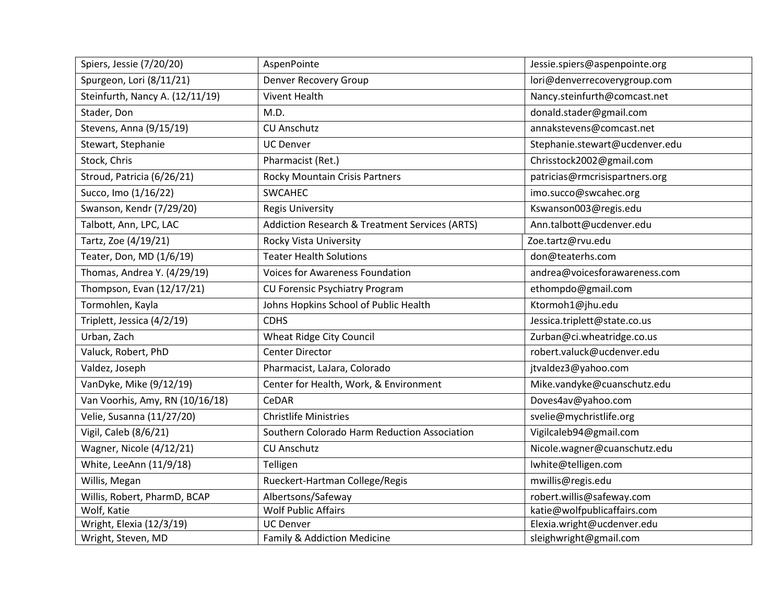| Spiers, Jessie (7/20/20)        | AspenPointe                                    | Jessie.spiers@aspenpointe.org  |
|---------------------------------|------------------------------------------------|--------------------------------|
| Spurgeon, Lori (8/11/21)        | <b>Denver Recovery Group</b>                   | lori@denverrecoverygroup.com   |
| Steinfurth, Nancy A. (12/11/19) | <b>Vivent Health</b>                           | Nancy.steinfurth@comcast.net   |
| Stader, Don                     | M.D.                                           | donald.stader@gmail.com        |
| Stevens, Anna (9/15/19)         | <b>CU Anschutz</b>                             | annakstevens@comcast.net       |
| Stewart, Stephanie              | <b>UC Denver</b>                               | Stephanie.stewart@ucdenver.edu |
| Stock, Chris                    | Pharmacist (Ret.)                              | Chrisstock2002@gmail.com       |
| Stroud, Patricia (6/26/21)      | Rocky Mountain Crisis Partners                 | patricias@rmcrisispartners.org |
| Succo, Imo (1/16/22)            | <b>SWCAHEC</b>                                 | imo.succo@swcahec.org          |
| Swanson, Kendr (7/29/20)        | <b>Regis University</b>                        | Kswanson003@regis.edu          |
| Talbott, Ann, LPC, LAC          | Addiction Research & Treatment Services (ARTS) | Ann.talbott@ucdenver.edu       |
| Tartz, Zoe (4/19/21)            | Rocky Vista University                         | Zoe.tartz@rvu.edu              |
| Teater, Don, MD (1/6/19)        | <b>Teater Health Solutions</b>                 | don@teaterhs.com               |
| Thomas, Andrea Y. (4/29/19)     | <b>Voices for Awareness Foundation</b>         | andrea@voicesforawareness.com  |
| Thompson, Evan (12/17/21)       | CU Forensic Psychiatry Program                 | ethompdo@gmail.com             |
| Tormohlen, Kayla                | Johns Hopkins School of Public Health          | Ktormoh1@jhu.edu               |
| Triplett, Jessica (4/2/19)      | <b>CDHS</b>                                    | Jessica.triplett@state.co.us   |
| Urban, Zach                     | Wheat Ridge City Council                       | Zurban@ci.wheatridge.co.us     |
| Valuck, Robert, PhD             | <b>Center Director</b>                         | robert.valuck@ucdenver.edu     |
| Valdez, Joseph                  | Pharmacist, LaJara, Colorado                   | jtvaldez3@yahoo.com            |
| VanDyke, Mike (9/12/19)         | Center for Health, Work, & Environment         | Mike.vandyke@cuanschutz.edu    |
| Van Voorhis, Amy, RN (10/16/18) | CeDAR                                          | Doves4av@yahoo.com             |
| Velie, Susanna (11/27/20)       | <b>Christlife Ministries</b>                   | svelie@mychristlife.org        |
| Vigil, Caleb (8/6/21)           | Southern Colorado Harm Reduction Association   | Vigilcaleb94@gmail.com         |
| Wagner, Nicole (4/12/21)        | <b>CU Anschutz</b>                             | Nicole.wagner@cuanschutz.edu   |
| White, LeeAnn (11/9/18)         | Telligen                                       | lwhite@telligen.com            |
| Willis, Megan                   | Rueckert-Hartman College/Regis                 | mwillis@regis.edu              |
| Willis, Robert, PharmD, BCAP    | Albertsons/Safeway                             | robert.willis@safeway.com      |
| Wolf, Katie                     | Wolf Public Affairs                            | katie@wolfpublicaffairs.com    |
| Wright, Elexia (12/3/19)        | <b>UC Denver</b>                               | Elexia.wright@ucdenver.edu     |
| Wright, Steven, MD              | Family & Addiction Medicine                    | sleighwright@gmail.com         |